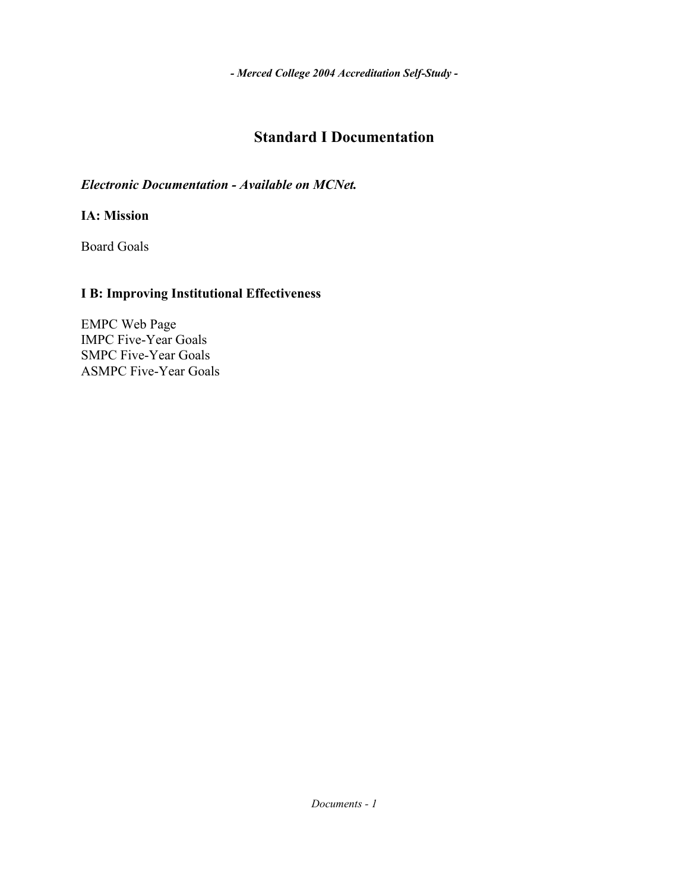# **Standard I Documentation**

*Electronic Documentation - Available on MCNet.*

**IA: Mission**

Board Goals

### **I B: Improving Institutional Effectiveness**

EMPC Web Page IMPC Five-Year Goals SMPC Five-Year Goals ASMPC Five-Year Goals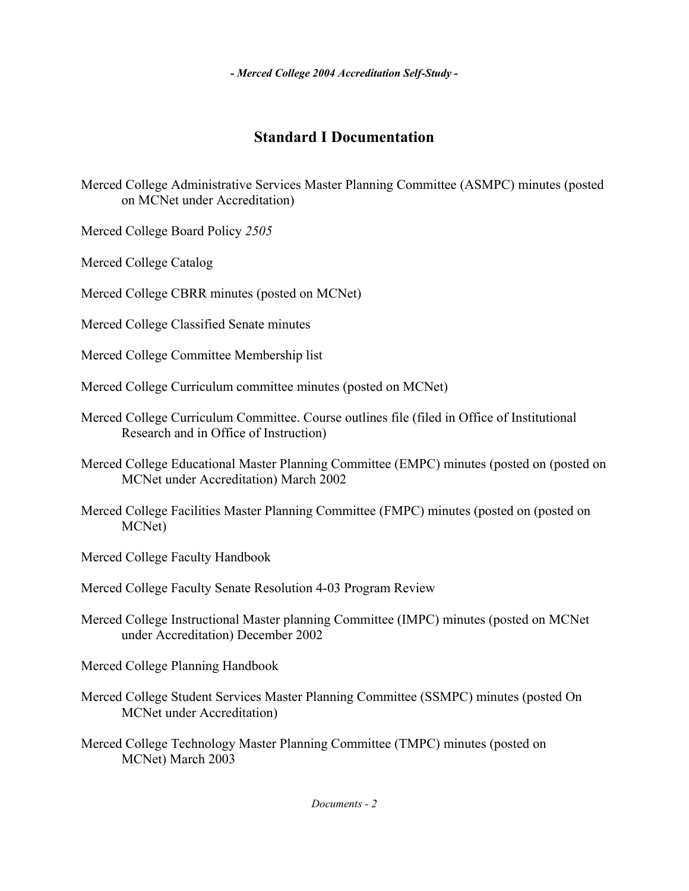# **Standard I Documentation**

Merced College Administrative Services Master Planning Committee (ASMPC) minutes (posted on MCNet under Accreditation)

Merced College Board Policy *2505* 

Merced College Catalog

Merced College CBRR minutes (posted on MCNet)

Merced College Classified Senate minutes

Merced College Committee Membership list

Merced College Curriculum committee minutes (posted on MCNet)

- Merced College Curriculum Committee. Course outlines file (filed in Office of Institutional Research and in Office of Instruction)
- Merced College Educational Master Planning Committee (EMPC) minutes (posted on (posted on MCNet under Accreditation) March 2002
- Merced College Facilities Master Planning Committee (FMPC) minutes (posted on (posted on MCNet)

Merced College Faculty Handbook

Merced College Faculty Senate Resolution 4-03 Program Review

Merced College Instructional Master planning Committee (IMPC) minutes (posted on MCNet under Accreditation) December 2002

Merced College Planning Handbook

- Merced College Student Services Master Planning Committee (SSMPC) minutes (posted On MCNet under Accreditation)
- Merced College Technology Master Planning Committee (TMPC) minutes (posted on MCNet) March 2003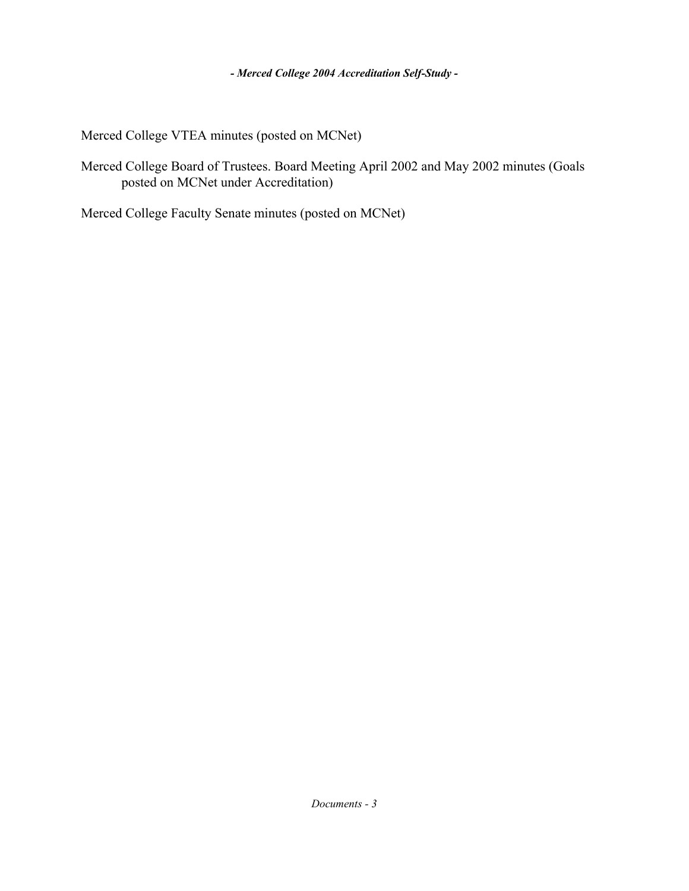Merced College VTEA minutes (posted on MCNet)

Merced College Board of Trustees. Board Meeting April 2002 and May 2002 minutes (Goals posted on MCNet under Accreditation)

Merced College Faculty Senate minutes (posted on MCNet)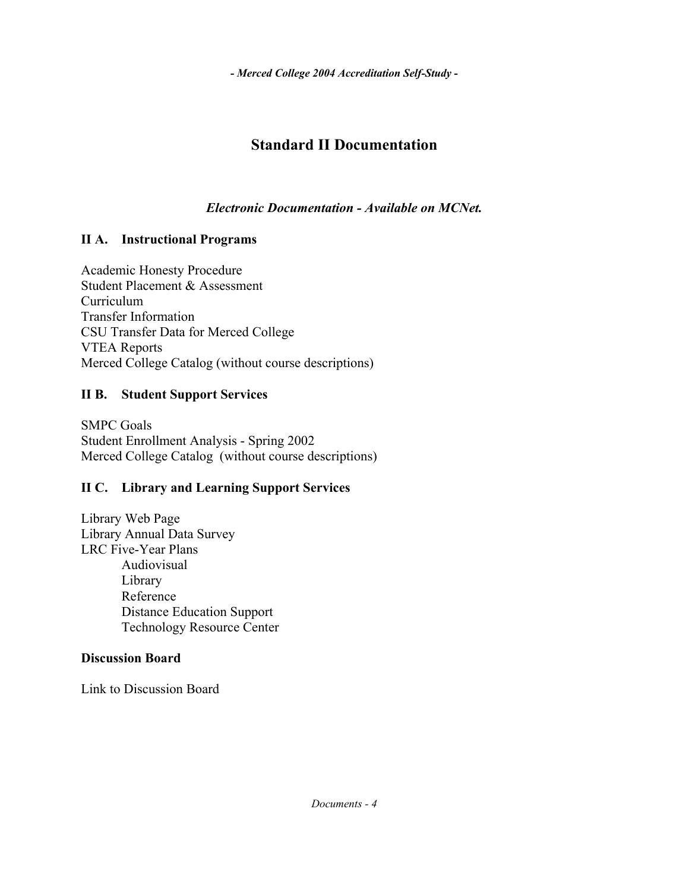## **Standard II Documentation**

*Electronic Documentation - Available on MCNet.*

### **II A. Instructional Programs**

Academic Honesty Procedure Student Placement & Assessment Curriculum Transfer Information CSU Transfer Data for Merced College VTEA Reports Merced College Catalog (without course descriptions)

### **II B. Student Support Services**

SMPC Goals Student Enrollment Analysis - Spring 2002 Merced College Catalog (without course descriptions)

### **II C. Library and Learning Support Services**

Library Web Page Library Annual Data Survey LRC Five-Year Plans Audiovisual Library Reference Distance Education Support Technology Resource Center

### **Discussion Board**

Link to Discussion Board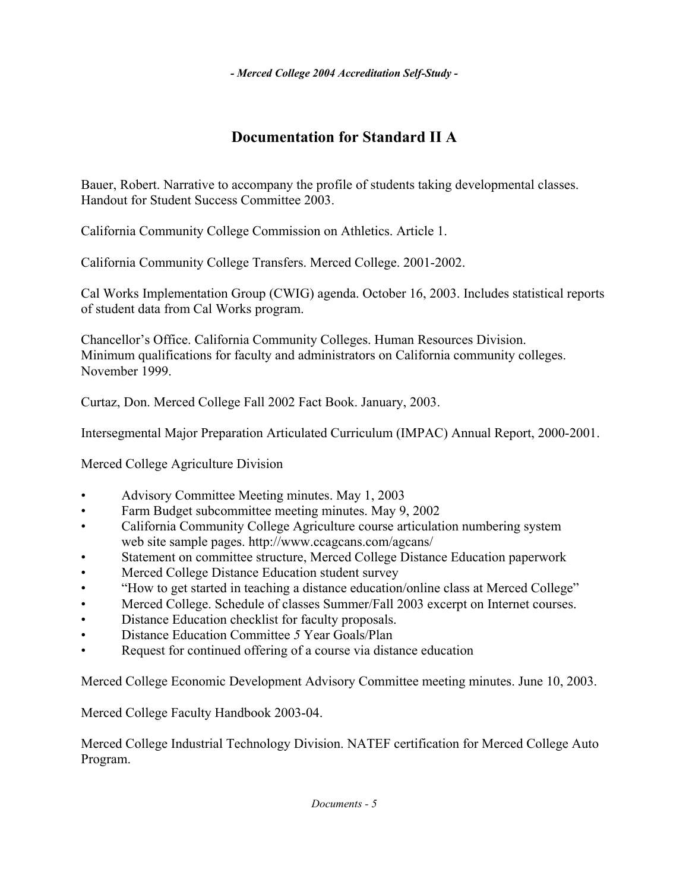## **Documentation for Standard II A**

Bauer, Robert. Narrative to accompany the profile of students taking developmental classes. Handout for Student Success Committee 2003.

California Community College Commission on Athletics. Article 1.

California Community College Transfers. Merced College. 2001-2002.

Cal Works Implementation Group (CWIG) agenda. October 16, 2003. Includes statistical reports of student data from Cal Works program.

Chancellor's Office. California Community Colleges. Human Resources Division. Minimum qualifications for faculty and administrators on California community colleges. November 1999.

Curtaz, Don. Merced College Fall 2002 Fact Book. January, 2003.

Intersegmental Major Preparation Articulated Curriculum (IMPAC) Annual Report, 2000-2001.

Merced College Agriculture Division

- Advisory Committee Meeting minutes. May 1, 2003
- Farm Budget subcommittee meeting minutes. May 9, 2002
- California Community College Agriculture course articulation numbering system web site sample pages. http://www.ccagcans.com/agcans/
- Statement on committee structure, Merced College Distance Education paperwork
- Merced College Distance Education student survey
- "How to get started in teaching a distance education/online class at Merced College"
- Merced College. Schedule of classes Summer/Fall 2003 excerpt on Internet courses.
- Distance Education checklist for faculty proposals.
- Distance Education Committee *5* Year Goals/Plan
- Request for continued offering of a course via distance education

Merced College Economic Development Advisory Committee meeting minutes. June 10, 2003.

Merced College Faculty Handbook 2003-04.

Merced College Industrial Technology Division. NATEF certification for Merced College Auto Program.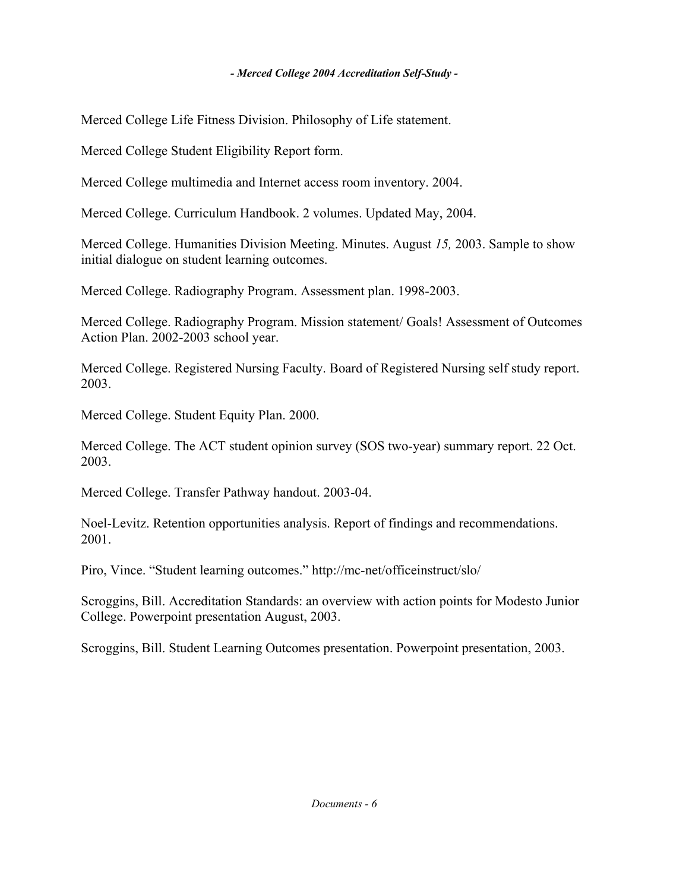Merced College Life Fitness Division. Philosophy of Life statement.

Merced College Student Eligibility Report form.

Merced College multimedia and Internet access room inventory. 2004.

Merced College. Curriculum Handbook. 2 volumes. Updated May, 2004.

Merced College. Humanities Division Meeting. Minutes. August *15,* 2003. Sample to show initial dialogue on student learning outcomes.

Merced College. Radiography Program. Assessment plan. 1998-2003.

Merced College. Radiography Program. Mission statement/ Goals! Assessment of Outcomes Action Plan. 2002-2003 school year.

Merced College. Registered Nursing Faculty. Board of Registered Nursing self study report. 2003.

Merced College. Student Equity Plan. 2000.

Merced College. The ACT student opinion survey (SOS two-year) summary report. 22 Oct. 2003.

Merced College. Transfer Pathway handout. 2003-04.

Noel-Levitz. Retention opportunities analysis. Report of findings and recommendations. 2001.

Piro, Vince. "Student learning outcomes." http://mc-net/officeinstruct/slo/

Scroggins, Bill. Accreditation Standards: an overview with action points for Modesto Junior College. Powerpoint presentation August, 2003.

Scroggins, Bill. Student Learning Outcomes presentation. Powerpoint presentation, 2003.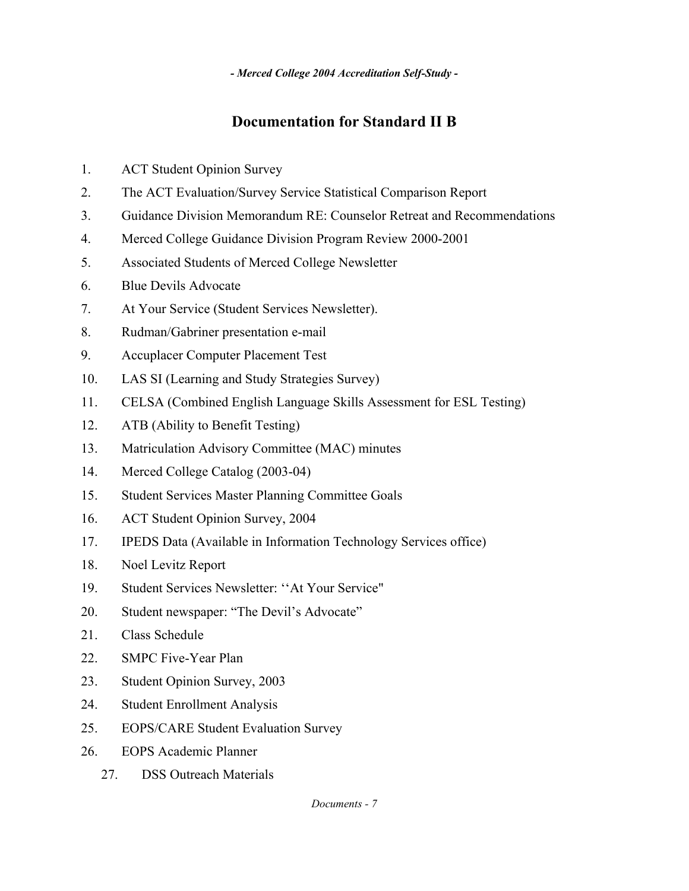## **Documentation for Standard II B**

- 1. ACT Student Opinion Survey
- 2. The ACT Evaluation/Survey Service Statistical Comparison Report
- 3. Guidance Division Memorandum RE: Counselor Retreat and Recommendations
- 4. Merced College Guidance Division Program Review 2000-2001
- 5. Associated Students of Merced College Newsletter
- 6. Blue Devils Advocate
- 7. At Your Service (Student Services Newsletter).
- 8. Rudman/Gabriner presentation e-mail
- 9. Accuplacer Computer Placement Test
- 10. LAS SI (Learning and Study Strategies Survey)
- 11. CELSA (Combined English Language Skills Assessment for ESL Testing)
- 12. ATB (Ability to Benefit Testing)
- 13. Matriculation Advisory Committee (MAC) minutes
- 14. Merced College Catalog (2003-04)
- 15. Student Services Master Planning Committee Goals
- 16. ACT Student Opinion Survey, 2004
- 17. IPEDS Data (Available in Information Technology Services office)
- 18. Noel Levitz Report
- 19. Student Services Newsletter: ''At Your Service"
- 20. Student newspaper: "The Devil's Advocate"
- 21. Class Schedule
- 22. SMPC Five-Year Plan
- 23. Student Opinion Survey, 2003
- 24. Student Enrollment Analysis
- 25. EOPS/CARE Student Evaluation Survey
- 26. EOPS Academic Planner
	- 27. DSS Outreach Materials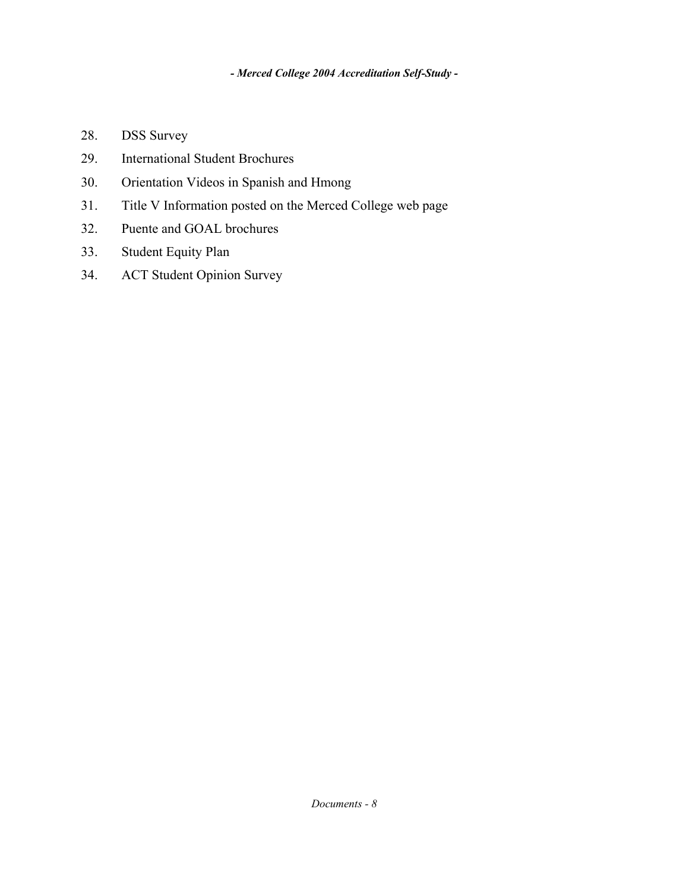- 28. DSS Survey
- 29. International Student Brochures
- 30. Orientation Videos in Spanish and Hmong
- 31. Title V Information posted on the Merced College web page
- 32. Puente and GOAL brochures
- 33. Student Equity Plan
- 34. ACT Student Opinion Survey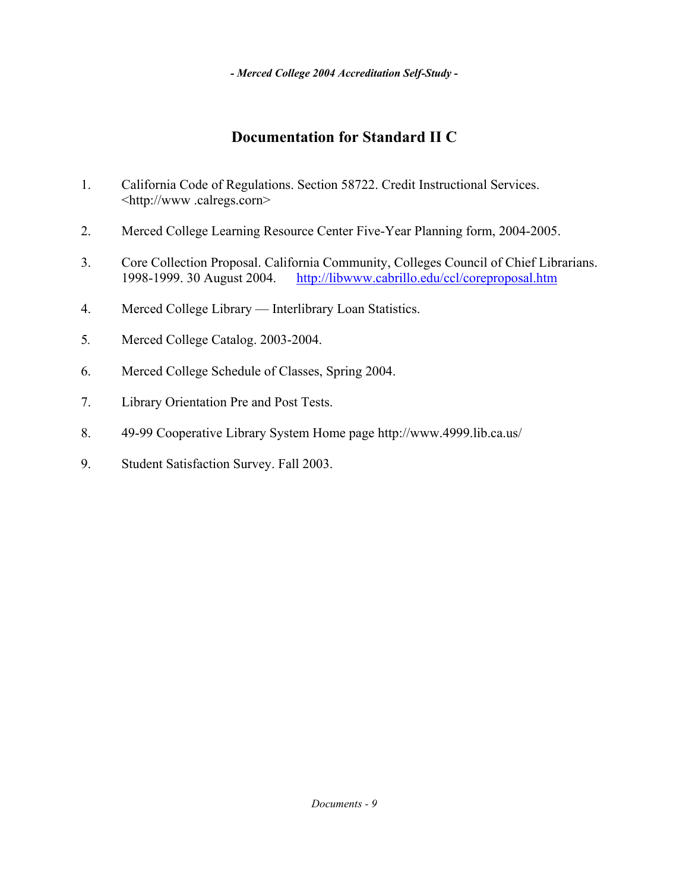## **Documentation for Standard II C**

- 1. California Code of Regulations. Section 58722. Credit Instructional Services. <http://www .calregs.corn>
- 2. Merced College Learning Resource Center Five-Year Planning form, 2004-2005.
- 3. Core Collection Proposal. California Community, Colleges Council of Chief Librarians. 1998-1999. 30 August 2004. http://libwww.cabrillo.edu/ccl/coreproposal.htm
- 4. Merced College Library Interlibrary Loan Statistics.
- 5*.* Merced College Catalog. 2003-2004.
- 6. Merced College Schedule of Classes, Spring 2004.
- 7. Library Orientation Pre and Post Tests.
- 8. 49-99 Cooperative Library System Home page http://www.4999.lib.ca.us/
- 9. Student Satisfaction Survey. Fall 2003.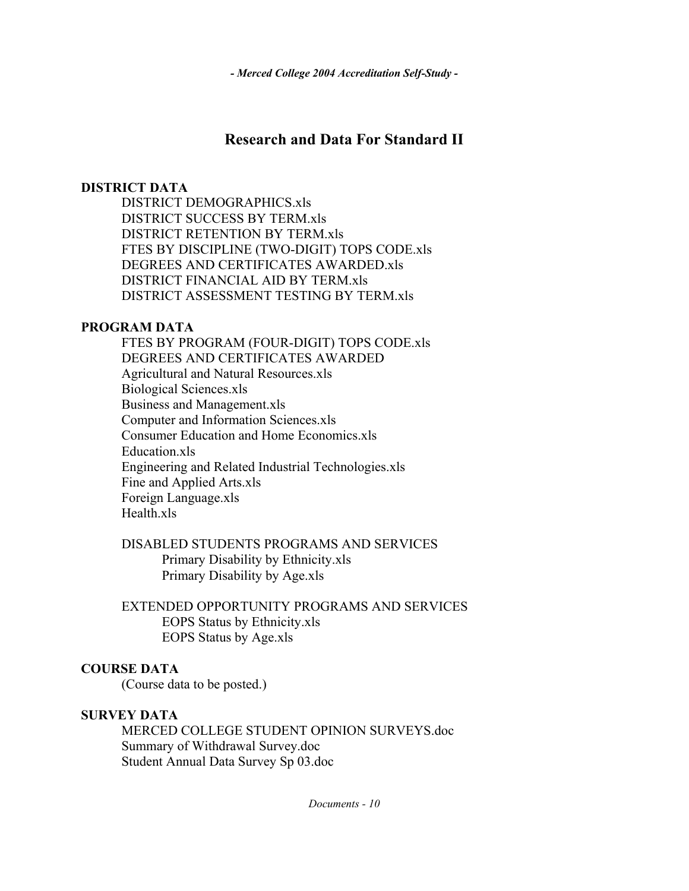### **Research and Data For Standard II**

#### **DISTRICT DATA**

 DISTRICT DEMOGRAPHICS.xls DISTRICT SUCCESS BY TERM.xls DISTRICT RETENTION BY TERM.xls FTES BY DISCIPLINE (TWO-DIGIT) TOPS CODE.xls DEGREES AND CERTIFICATES AWARDED.xls DISTRICT FINANCIAL AID BY TERM.xls DISTRICT ASSESSMENT TESTING BY TERM.xls

#### **PROGRAM DATA**

 FTES BY PROGRAM (FOUR-DIGIT) TOPS CODE.xls DEGREES AND CERTIFICATES AWARDED Agricultural and Natural Resources.xls Biological Sciences.xls Business and Management.xls Computer and Information Sciences.xls Consumer Education and Home Economics.xls Education.xls Engineering and Related Industrial Technologies.xls Fine and Applied Arts.xls Foreign Language.xls Health.xls

#### DISABLED STUDENTS PROGRAMS AND SERVICES Primary Disability by Ethnicity.xls Primary Disability by Age.xls

 EXTENDED OPPORTUNITY PROGRAMS AND SERVICES EOPS Status by Ethnicity.xls EOPS Status by Age.xls

#### **COURSE DATA**

(Course data to be posted.)

#### **SURVEY DATA**

 MERCED COLLEGE STUDENT OPINION SURVEYS.doc Summary of Withdrawal Survey.doc Student Annual Data Survey Sp 03.doc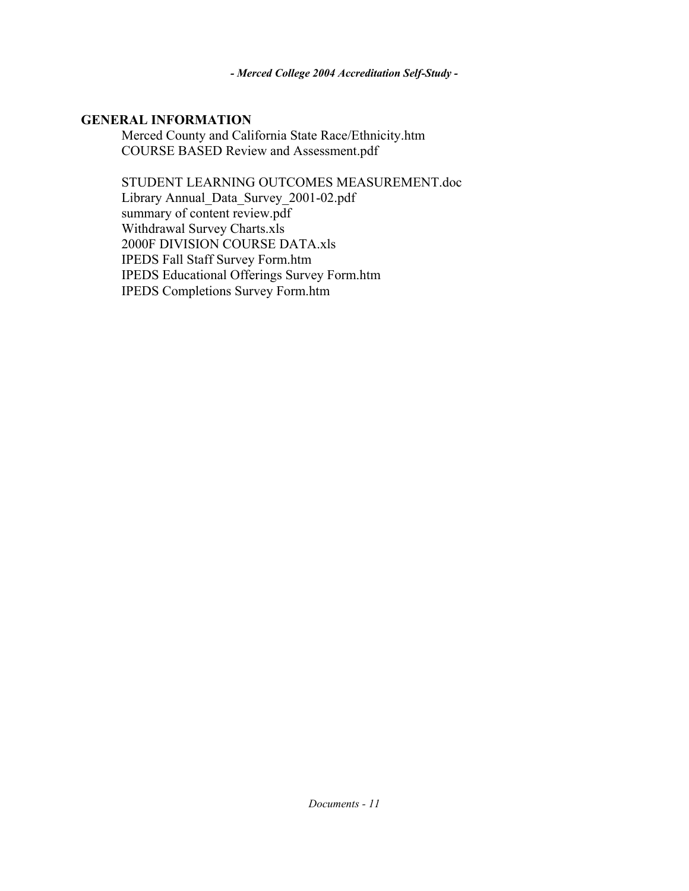#### **GENERAL INFORMATION**

 Merced County and California State Race/Ethnicity.htm COURSE BASED Review and Assessment.pdf

STUDENT LEARNING OUTCOMES MEASUREMENT.doc

 Library Annual\_Data\_Survey\_2001-02.pdf summary of content review.pdf Withdrawal Survey Charts.xls 2000F DIVISION COURSE DATA.xls IPEDS Fall Staff Survey Form.htm IPEDS Educational Offerings Survey Form.htm IPEDS Completions Survey Form.htm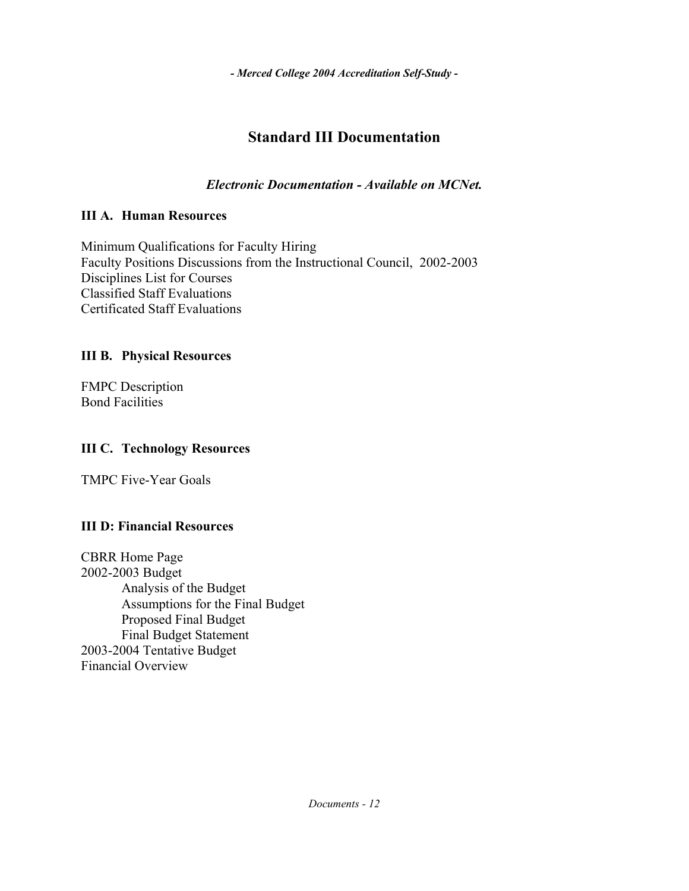# **Standard III Documentation**

*Electronic Documentation - Available on MCNet.*

### **III A. Human Resources**

Minimum Qualifications for Faculty Hiring Faculty Positions Discussions from the Instructional Council, 2002-2003 Disciplines List for Courses Classified Staff Evaluations Certificated Staff Evaluations

### **III B. Physical Resources**

FMPC Description Bond Facilities

### **III C. Technology Resources**

TMPC Five-Year Goals

### **III D: Financial Resources**

CBRR Home Page 2002-2003 Budget Analysis of the Budget Assumptions for the Final Budget Proposed Final Budget Final Budget Statement 2003-2004 Tentative Budget Financial Overview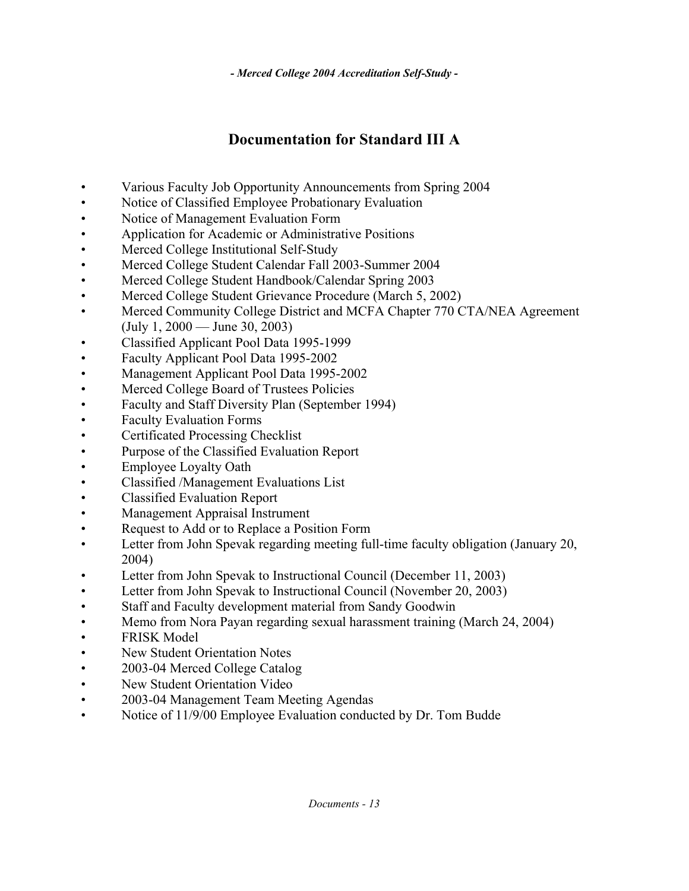# **Documentation for Standard III A**

- Various Faculty Job Opportunity Announcements from Spring 2004
- Notice of Classified Employee Probationary Evaluation
- Notice of Management Evaluation Form
- Application for Academic or Administrative Positions
- Merced College Institutional Self-Study
- Merced College Student Calendar Fall 2003-Summer 2004
- Merced College Student Handbook/Calendar Spring 2003
- Merced College Student Grievance Procedure (March 5, 2002)
- Merced Community College District and MCFA Chapter 770 CTA/NEA Agreement (July 1, 2000 — June 30, 2003)
- Classified Applicant Pool Data 1995-1999
- Faculty Applicant Pool Data 1995-2002
- Management Applicant Pool Data 1995-2002
- Merced College Board of Trustees Policies
- Faculty and Staff Diversity Plan (September 1994)
- Faculty Evaluation Forms
- Certificated Processing Checklist
- Purpose of the Classified Evaluation Report
- Employee Loyalty Oath
- Classified /Management Evaluations List
- Classified Evaluation Report
- Management Appraisal Instrument
- Request to Add or to Replace a Position Form
- Letter from John Spevak regarding meeting full-time faculty obligation (January 20, 2004)
- Letter from John Spevak to Instructional Council (December 11, 2003)
- Letter from John Spevak to Instructional Council (November 20, 2003)
- Staff and Faculty development material from Sandy Goodwin
- Memo from Nora Payan regarding sexual harassment training (March 24, 2004)
- FRISK Model
- New Student Orientation Notes
- 2003-04 Merced College Catalog
- New Student Orientation Video
- 2003-04 Management Team Meeting Agendas
- Notice of 11/9/00 Employee Evaluation conducted by Dr. Tom Budde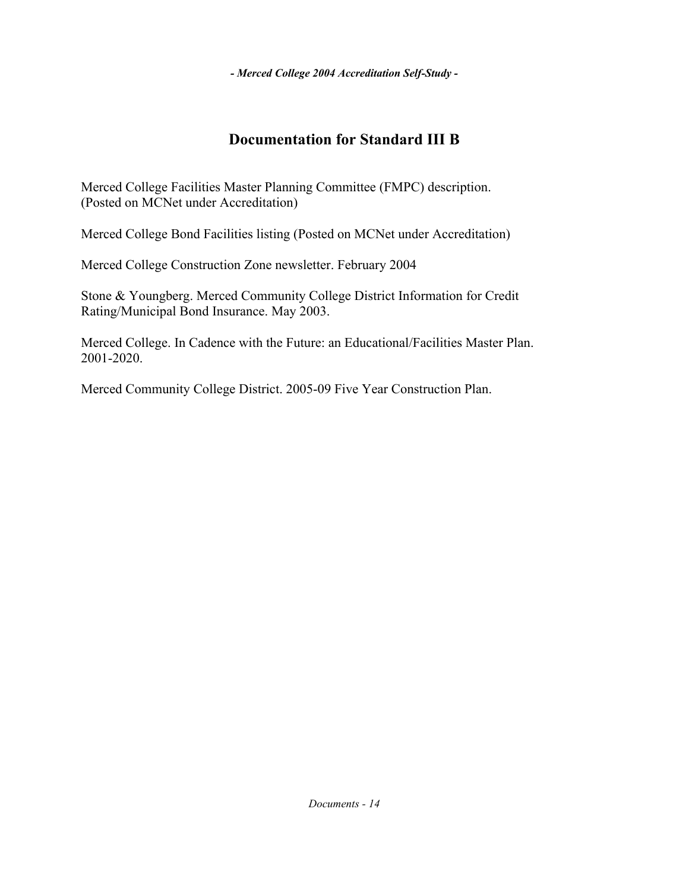# **Documentation for Standard III B**

Merced College Facilities Master Planning Committee (FMPC) description. (Posted on MCNet under Accreditation)

Merced College Bond Facilities listing (Posted on MCNet under Accreditation)

Merced College Construction Zone newsletter. February 2004

Stone & Youngberg. Merced Community College District Information for Credit Rating/Municipal Bond Insurance. May 2003.

Merced College. In Cadence with the Future: an Educational/Facilities Master Plan. 2001-2020.

Merced Community College District. 2005-09 Five Year Construction Plan.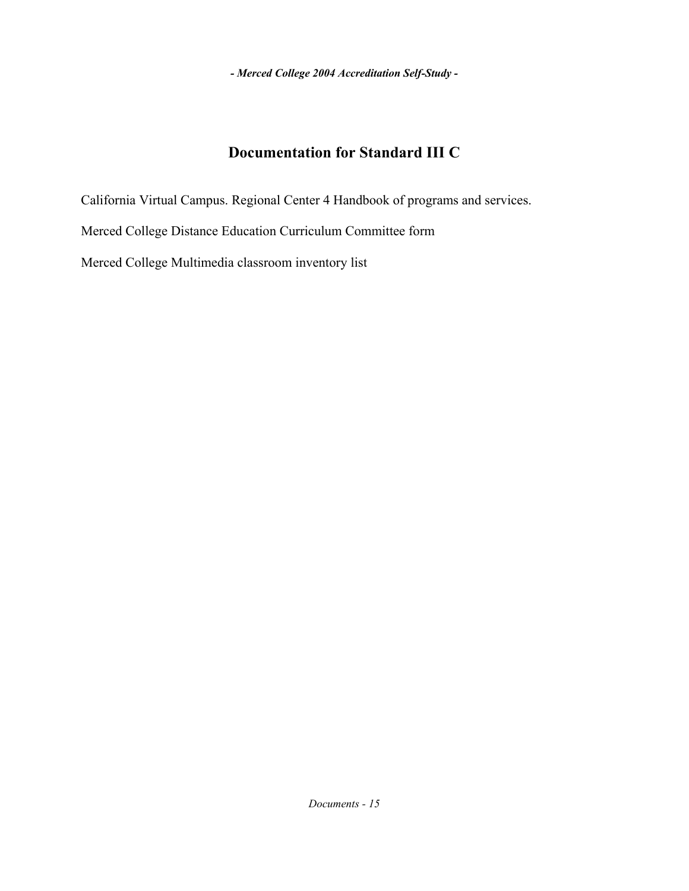## **Documentation for Standard III C**

California Virtual Campus. Regional Center 4 Handbook of programs and services. Merced College Distance Education Curriculum Committee form Merced College Multimedia classroom inventory list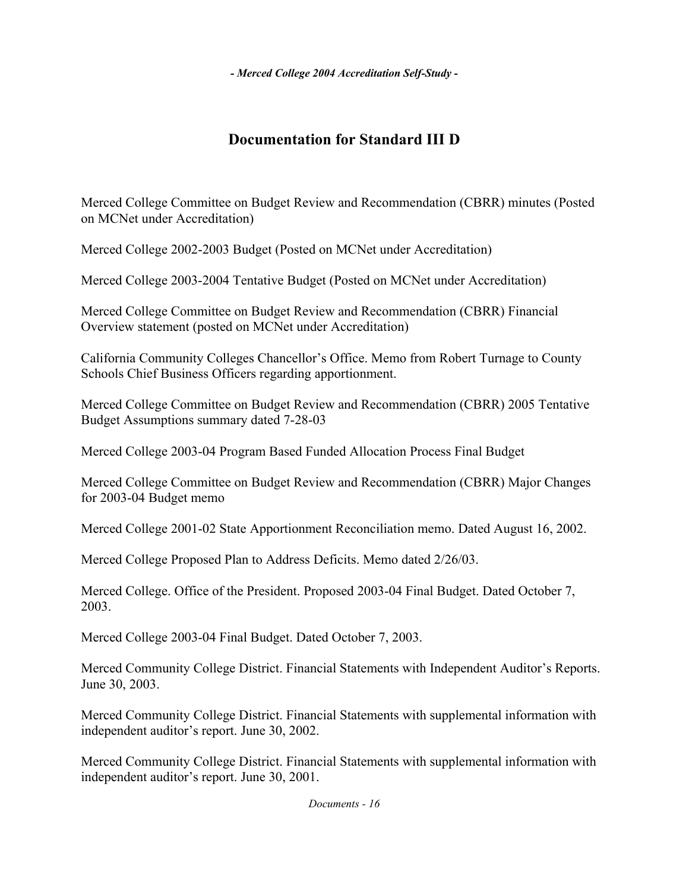# **Documentation for Standard III D**

Merced College Committee on Budget Review and Recommendation (CBRR) minutes (Posted on MCNet under Accreditation)

Merced College 2002-2003 Budget (Posted on MCNet under Accreditation)

Merced College 2003-2004 Tentative Budget (Posted on MCNet under Accreditation)

Merced College Committee on Budget Review and Recommendation (CBRR) Financial Overview statement (posted on MCNet under Accreditation)

California Community Colleges Chancellor's Office. Memo from Robert Turnage to County Schools Chief Business Officers regarding apportionment.

Merced College Committee on Budget Review and Recommendation (CBRR) 2005 Tentative Budget Assumptions summary dated 7-28-03

Merced College 2003-04 Program Based Funded Allocation Process Final Budget

Merced College Committee on Budget Review and Recommendation (CBRR) Major Changes for 2003-04 Budget memo

Merced College 2001-02 State Apportionment Reconciliation memo. Dated August 16, 2002.

Merced College Proposed Plan to Address Deficits. Memo dated 2/26/03.

Merced College. Office of the President. Proposed 2003-04 Final Budget. Dated October 7, 2003.

Merced College 2003-04 Final Budget. Dated October 7, 2003.

Merced Community College District. Financial Statements with Independent Auditor's Reports. June 30, 2003.

Merced Community College District. Financial Statements with supplemental information with independent auditor's report. June 30, 2002.

Merced Community College District. Financial Statements with supplemental information with independent auditor's report. June 30, 2001.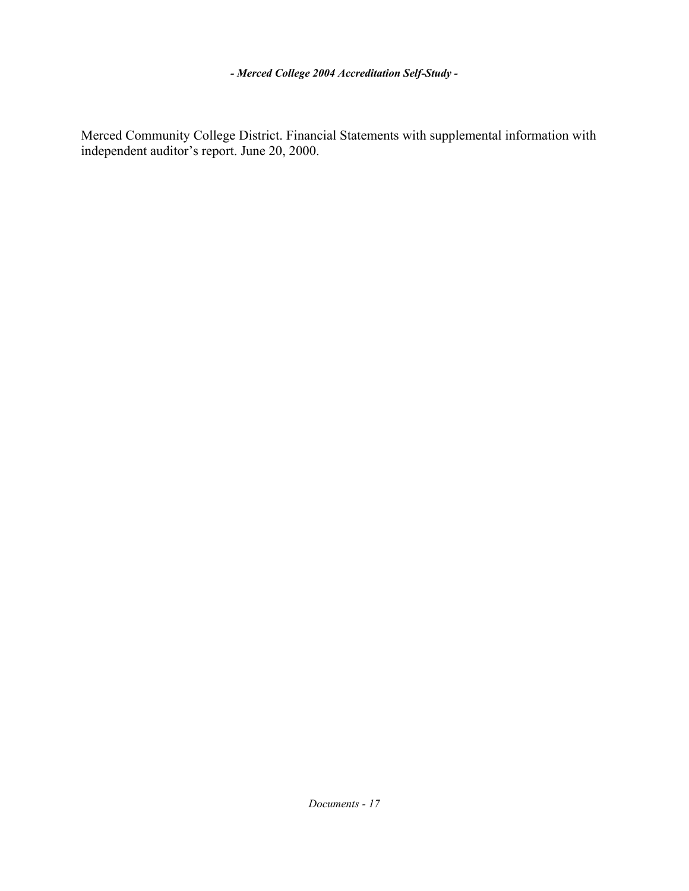Merced Community College District. Financial Statements with supplemental information with independent auditor's report. June 20, 2000.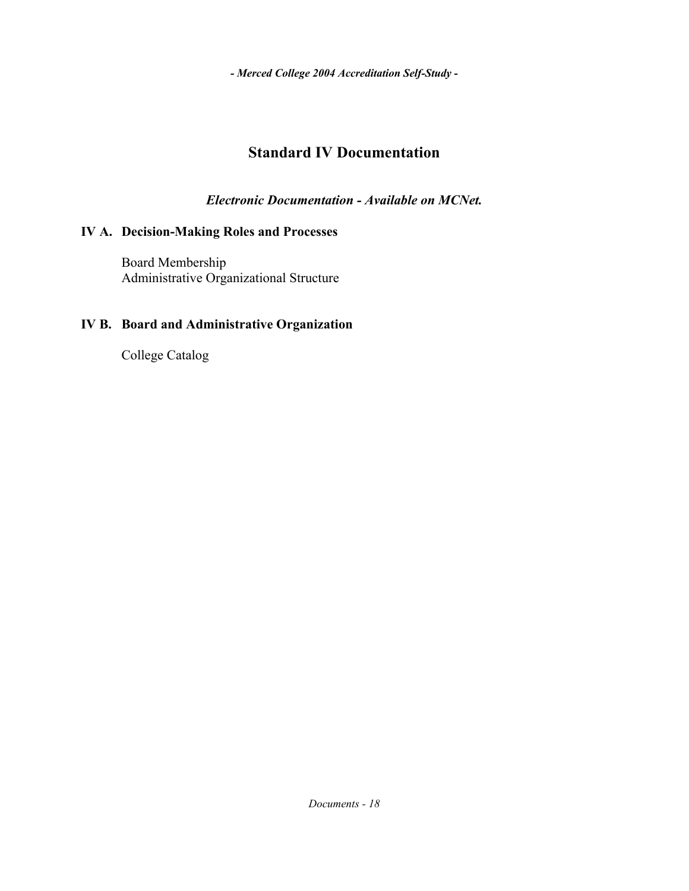### **Standard IV Documentation**

*Electronic Documentation - Available on MCNet.*

### **IV A. Decision-Making Roles and Processes**

 Board Membership Administrative Organizational Structure

### **IV B. Board and Administrative Organization**

College Catalog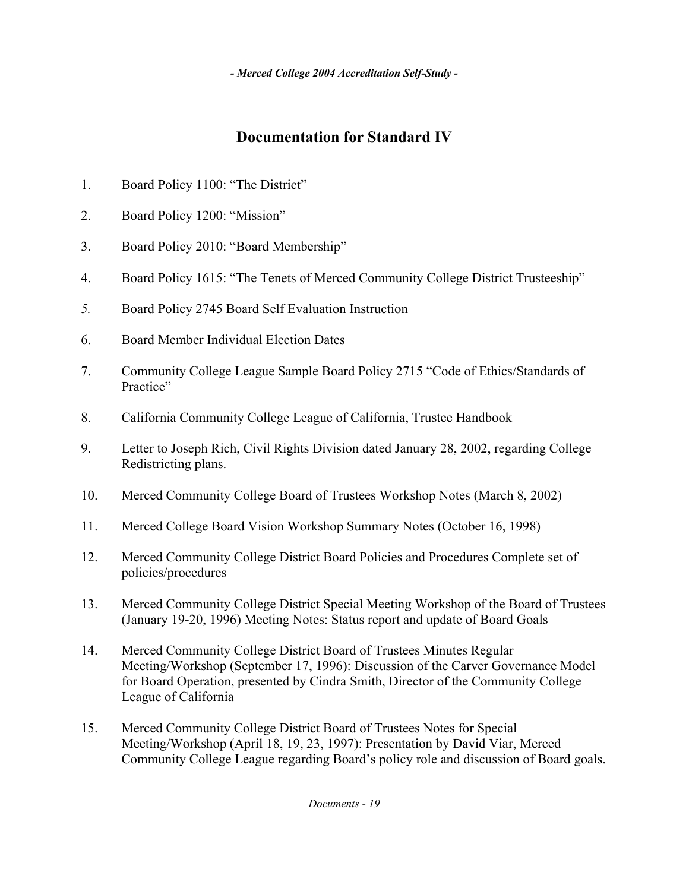# **Documentation for Standard IV**

- 1. Board Policy 1100: "The District"
- 2. Board Policy 1200: "Mission"
- 3. Board Policy 2010: "Board Membership"
- 4. Board Policy 1615: "The Tenets of Merced Community College District Trusteeship"
- *5.* Board Policy 2745 Board Self Evaluation Instruction
- 6. Board Member Individual Election Dates
- 7. Community College League Sample Board Policy 2715 "Code of Ethics/Standards of Practice"
- 8. California Community College League of California, Trustee Handbook
- 9. Letter to Joseph Rich, Civil Rights Division dated January 28, 2002, regarding College Redistricting plans.
- 10. Merced Community College Board of Trustees Workshop Notes (March 8, 2002)
- 11. Merced College Board Vision Workshop Summary Notes (October 16, 1998)
- 12. Merced Community College District Board Policies and Procedures Complete set of policies/procedures
- 13. Merced Community College District Special Meeting Workshop of the Board of Trustees (January 19-20, 1996) Meeting Notes: Status report and update of Board Goals
- 14. Merced Community College District Board of Trustees Minutes Regular Meeting/Workshop (September 17, 1996): Discussion of the Carver Governance Model for Board Operation, presented by Cindra Smith, Director of the Community College League of California
- 15. Merced Community College District Board of Trustees Notes for Special Meeting/Workshop (April 18, 19, 23, 1997): Presentation by David Viar, Merced Community College League regarding Board's policy role and discussion of Board goals.